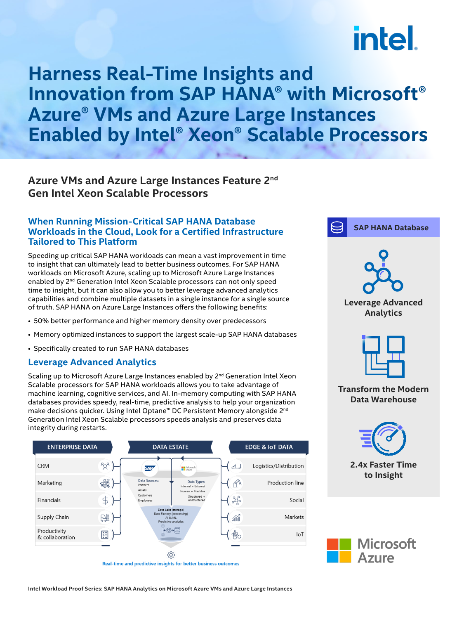# **intel**

### **Harness Real-Time Insights and Innovation from SAP HANA® with Microsoft® Azure® VMs and Azure Large Instances Enabled by Intel® Xeon® Scalable Processors**

#### **Azure VMs and Azure Large Instances Feature 2nd Gen Intel Xeon Scalable Processors**

#### **When Running Mission-Critical SAP HANA Database Workloads in the Cloud, Look for a Certified Infrastructure Tailored to This Platform**

Speeding up critical SAP HANA workloads can mean a vast improvement in time to insight that can ultimately lead to better business outcomes. For SAP HANA workloads on Microsoft Azure, scaling up to Microsoft Azure Large Instances enabled by 2nd Generation Intel Xeon Scalable processors can not only speed time to insight, but it can also allow you to better leverage advanced analytics capabilities and combine multiple datasets in a single instance for a single source of truth. SAP HANA on Azure Large Instances offers the following benefits:

- 50% better performance and higher memory density over predecessors
- Memory optimized instances to support the largest scale-up SAP HANA databases
- Specifically created to run SAP HANA databases

#### **Leverage Advanced Analytics**

Scaling up to Microsoft Azure Large Instances enabled by 2<sup>nd</sup> Generation Intel Xeon Scalable processors for SAP HANA workloads allows you to take advantage of machine learning, cognitive services, and AI. In-memory computing with SAP HANA databases provides speedy, real-time, predictive analysis to help your organization make decisions quicker. Using Intel Optane™ DC Persistent Memory alongside 2nd Generation Intel Xeon Scalable processors speeds analysis and preserves data integrity during restarts.



Real-time and predictive insights for better business outcomes